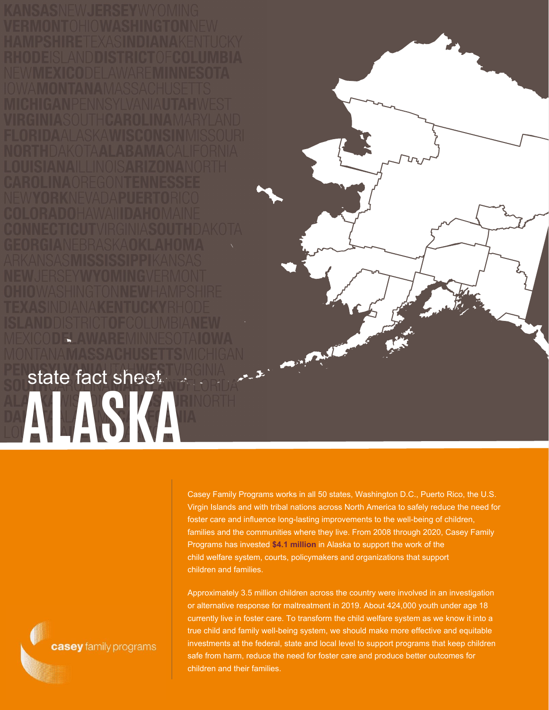XICODELAWAREMINNESOTAIO state fact sheet **ALASKA** 

> Casey Family Programs works in all 50 states, Washington D.C., Puerto Rico, the U.S. Virgin Islands and with tribal nations across North America to safely reduce the need for foster care and influence long-lasting improvements to the well-being of children, families and the communities where they live. From 2008 through 2020, Casey Family Programs has invested **\$4.1 million** in Alaska to support the work of the child welfare system, courts, policymakers and organizations that support children and families.

Approximately 3.5 million children across the country were involved in an investigation or alternative response for maltreatment in 2019. About 424,000 youth under age 18 currently live in foster care. To transform the child welfare system as we know it into a true child and family well-being system, we should make more effective and equitable investments at the federal, state and local level to support programs that keep children safe from harm, reduce the need for foster care and produce better outcomes for children and their families.

casey family programs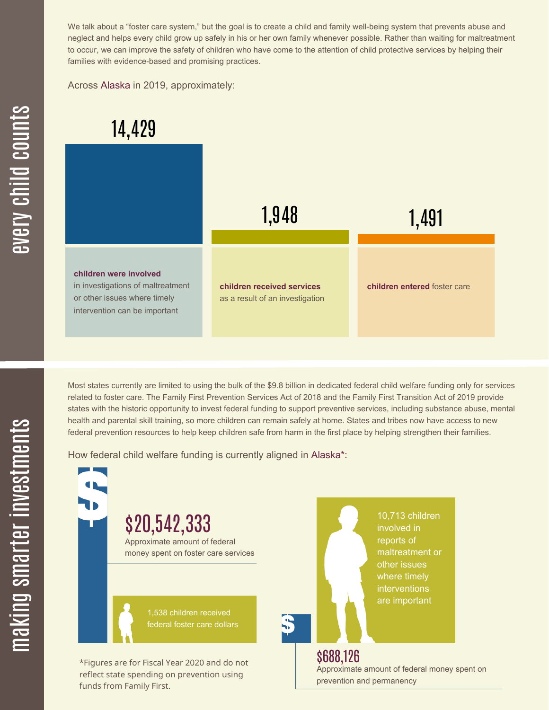We talk about a "foster care system," but the goal is to create a child and family well-being system that prevents abuse and neglect and helps every child grow up safely in his or her own family whenever possible. Rather than waiting for maltreatment to occur, we can improve the safety of children who have come to the attention of child protective services by helping their families with evidence-based and promising practices.

Across Alaska in 2019, approximately:



Most states currently are limited to using the bulk of the \$9.8 billion in dedicated federal child welfare funding only for services related to foster care. The Family First Prevention Services Act of 2018 and the Family First Transition Act of 2019 provide states with the historic opportunity to invest federal funding to support preventive services, including substance abuse, mental health and parental skill training, so more children can remain safely at home. States and tribes now have access to new federal prevention resources to help keep children safe from harm in the first place by helping strengthen their families.

How federal child welfare funding is currently aligned in Alaska\*:

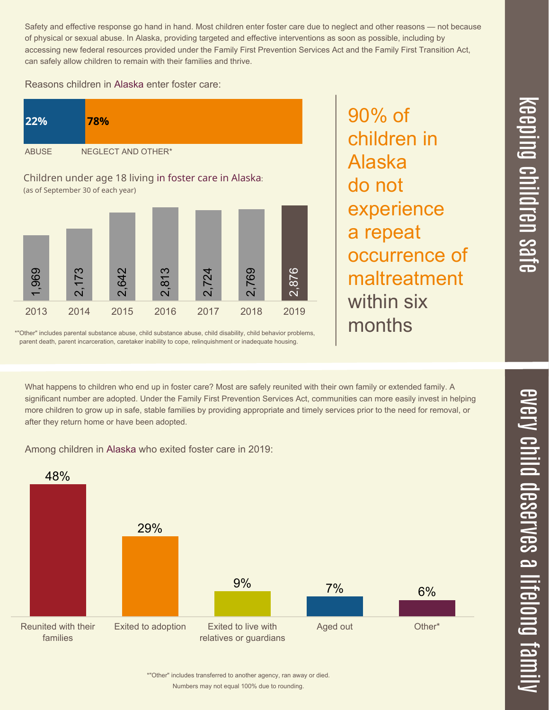$\overline{\phantom{1}}$  $\overline{\mathbf \Theta}$  $\overline{\mathbf{C}}$ <u>pin</u>  $\overline{\mathbf{C}}$  $\overline{\mathbf{C}}$  $\equiv$  $\overline{\mathbf{c}}$  $\overline{\phantom{0}}$  $\boldsymbol{\mathcal{O}}$ a  $\overrightarrow{\mathbf{e}}$ 

Safety and effective response go hand in hand. Most children enter foster care due to neglect and other reasons — not because of physical or sexual abuse. In Alaska, providing targeted and effective interventions as soon as possible, including by accessing new federal resources provided under the Family First Prevention Services Act and the Family First Transition Act, can safely allow children to remain with their families and thrive.

90% of

Alaska

do not

children in

experience

occurrence of

maltreatment

a repeat

within six

months

## Reasons children in Alaska enter foster care:



\*"Other" includes parental substance abuse, child substance abuse, child disability, child behavior problems, parent death, parent incarceration, caretaker inability to cope, relinquishment or inadequate housing.

What happens to children who end up in foster care? Most are safely reunited with their own family or extended family. A significant number are adopted. Under the Family First Prevention Services Act, communities can more easily invest in helping more children to grow up in safe, stable families by providing appropriate and timely services prior to the need for removal, or after they return home or have been adopted.

Among children in Alaska who exited foster care in 2019:



Numbers may not equal 100% due to rounding. \*"Other" includes transferred to another agency, ran away or died.

 $\overline{\mathbf{C}}$  $\leq$  $\overline{\mathbf{C}}$  $\overline{\mathsf{Z}}$